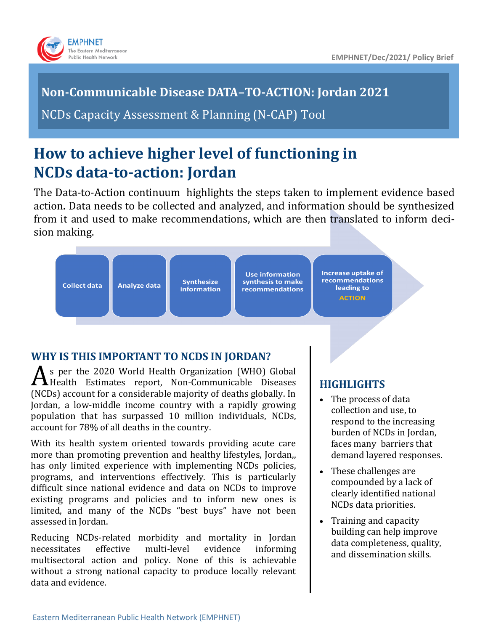

# **Non-Communicable Disease DATA–TO-ACTION: Jordan 2021**

NCDs Capacity Assessment & Planning (N-CAP) Tool

# **How to achieve higher level of functioning in NCDs data-to-action: Jordan**

The Data-to-Action continuum highlights the steps taken to implement evidence based action. Data needs to be collected and analyzed, and information should be synthesized from it and used to make recommendations, which are then translated to inform decision making.

| <b>Collect data</b> | <b>Analyze data</b> |  |
|---------------------|---------------------|--|
|                     |                     |  |

**Synthesize information** 

**Use information** synthesis to make **recommendations**  **Increase uptake of** recommendations leading to **ACTION** 

# **WHY IS THIS IMPORTANT TO NCDS IN JORDAN?**

As per the 2020 World Health Organization (WHO) Global<br>Health Estimates report, Non-Communicable Diseases s per the 2020 World Health Organization (WHO) Global (NCDs) account for a considerable majority of deaths globally. In Jordan, a low-middle income country with a rapidly growing population that has surpassed 10 million individuals, NCDs, account for 78% of all deaths in the country.

With its health system oriented towards providing acute care more than promoting prevention and healthy lifestyles, Jordan,, has only limited experience with implementing NCDs policies, programs, and interventions effectively. This is particularly difficult since national evidence and data on NCDs to improve existing programs and policies and to inform new ones is limited, and many of the NCDs "best buys" have not been assessed in Jordan.

Reducing NCDs-related morbidity and mortality in Jordan necessitates effective multi-level evidence informing multisectoral action and policy. None of this is achievable without a strong national capacity to produce locally relevant data and evidence.

# **HIGHLIGHTS**

- The process of data collection and use, to respond to the increasing burden of NCDs in Jordan, faces many barriers that demand layered responses.
- These challenges are compounded by a lack of clearly identified national NCDs data priorities.
- Training and capacity building can help improve data completeness, quality, and dissemination skills.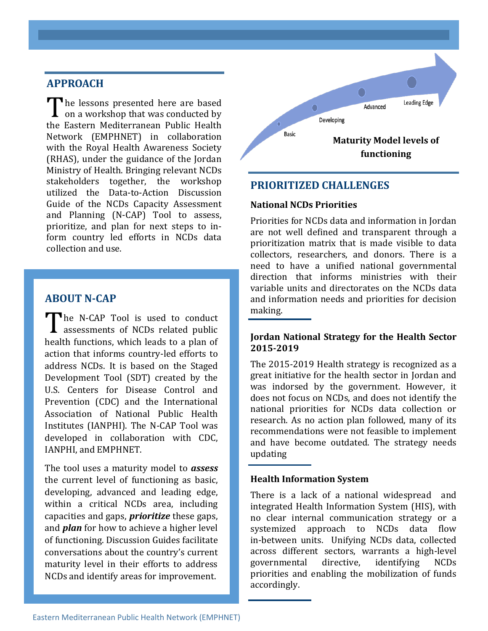### **APPROACH**

The lessons presented here are based<br>on a workshop that was conducted by The lessons presented here are based the Eastern Mediterranean Public Health Network (EMPHNET) in collaboration with the Royal Health Awareness Society (RHAS), under the guidance of the Jordan Ministry of Health. Bringing relevant NCDs stakeholders together, the workshop utilized the Data-to-Action Discussion Guide of the NCDs Capacity Assessment and Planning (N-CAP) Tool to assess, prioritize, and plan for next steps to inform country led efforts in NCDs data collection and use.

## **ABOUT N-CAP**

The N-CAP Tool is used to conduct<br>assessments of NCDs related public he N-CAP Tool is used to conduct health functions, which leads to a plan of action that informs country-led efforts to address NCDs. It is based on the Staged Development Tool (SDT) created by the U.S. Centers for Disease Control and Prevention (CDC) and the International Association of National Public Health Institutes (IANPHI). The N-CAP Tool was developed in collaboration with CDC, IANPHI, and EMPHNET.

The tool uses a maturity model to *assess* the current level of functioning as basic, developing, advanced and leading edge, within a critical NCDs area, including capacities and gaps, *prioritize* these gaps, and *plan* for how to achieve a higher level of functioning. Discussion Guides facilitate conversations about the country's current maturity level in their efforts to address NCDs and identify areas for improvement.



## **PRIORITIZED CHALLENGES**

#### **National NCDs Priorities**

Priorities for NCDs data and information in Jordan are not well defined and transparent through a prioritization matrix that is made visible to data collectors, researchers, and donors. There is a need to have a unified national governmental direction that informs ministries with their variable units and directorates on the NCDs data and information needs and priorities for decision making.

#### **Jordan National Strategy for the Health Sector 2015-2019**

The 2015-2019 Health strategy is recognized as a great initiative for the health sector in Jordan and was indorsed by the government. However, it does not focus on NCDs, and does not identify the national priorities for NCDs data collection or research. As no action plan followed, many of its recommendations were not feasible to implement and have become outdated. The strategy needs updating

#### **Health Information System**

There is a lack of a national widespread and integrated Health Information System (HIS), with no clear internal communication strategy or a systemized approach to NCDs data flow in-between units. Unifying NCDs data, collected across different sectors, warrants a high-level governmental directive, identifying NCDs priorities and enabling the mobilization of funds accordingly.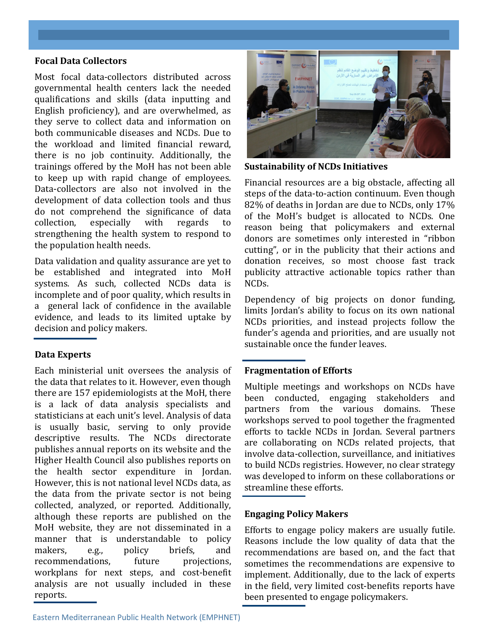#### **Focal Data Collectors**

Most focal data-collectors distributed across governmental health centers lack the needed qualifications and skills (data inputting and English proficiency), and are overwhelmed, as they serve to collect data and information on both communicable diseases and NCDs. Due to the workload and limited financial reward, there is no job continuity. Additionally, the trainings offered by the MoH has not been able to keep up with rapid change of employees. Data-collectors are also not involved in the development of data collection tools and thus do not comprehend the significance of data collection, especially with regards to strengthening the health system to respond to the population health needs.

Data validation and quality assurance are yet to be established and integrated into MoH systems. As such, collected NCDs data is incomplete and of poor quality, which results in a general lack of confidence in the available evidence, and leads to its limited uptake by decision and policy makers.

#### **Data Experts**

Each ministerial unit oversees the analysis of the data that relates to it. However, even though there are 157 epidemiologists at the MoH, there is a lack of data analysis specialists and statisticians at each unit's level. Analysis of data is usually basic, serving to only provide descriptive results. The NCDs directorate publishes annual reports on its website and the Higher Health Council also publishes reports on the health sector expenditure in Jordan. However, this is not national level NCDs data, as the data from the private sector is not being collected, analyzed, or reported. Additionally, although these reports are published on the MoH website, they are not disseminated in a manner that is understandable to policy makers, e.g., policy briefs, and recommendations, future projections, workplans for next steps, and cost-benefit analysis are not usually included in these reports.



**Sustainability of NCDs Initiatives** 

Financial resources are a big obstacle, affecting all steps of the data-to-action continuum. Even though 82% of deaths in Jordan are due to NCDs, only 17% of the MoH's budget is allocated to NCDs. One reason being that policymakers and external donors are sometimes only interested in "ribbon cutting", or in the publicity that their actions and donation receives, so most choose fast track publicity attractive actionable topics rather than NCDs.

Dependency of big projects on donor funding, limits Jordan's ability to focus on its own national NCDs priorities, and instead projects follow the funder's agenda and priorities, and are usually not sustainable once the funder leaves.

#### **Fragmentation of Efforts**

Multiple meetings and workshops on NCDs have been conducted, engaging stakeholders and partners from the various domains. These workshops served to pool together the fragmented efforts to tackle NCDs in Jordan. Several partners are collaborating on NCDs related projects, that involve data-collection, surveillance, and initiatives to build NCDs registries. However, no clear strategy was developed to inform on these collaborations or streamline these efforts.

#### **Engaging Policy Makers**

Efforts to engage policy makers are usually futile. Reasons include the low quality of data that the recommendations are based on, and the fact that sometimes the recommendations are expensive to implement. Additionally, due to the lack of experts in the field, very limited cost-benefits reports have been presented to engage policymakers.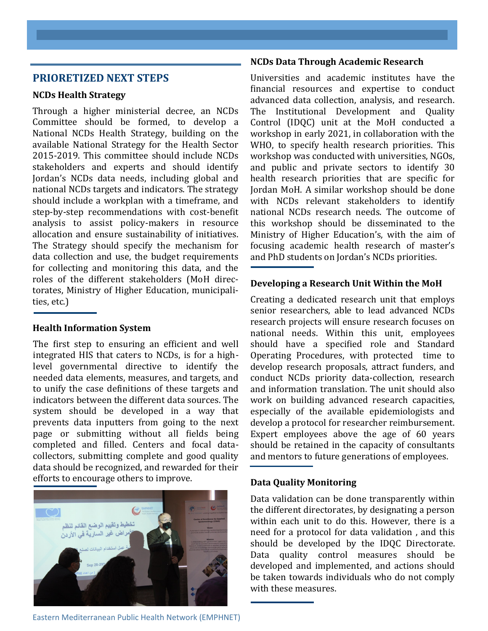#### **PRIORETIZED NEXT STEPS**

#### **NCDs Health Strategy**

Through a higher ministerial decree, an NCDs Committee should be formed, to develop a National NCDs Health Strategy, building on the available National Strategy for the Health Sector 2015-2019. This committee should include NCDs stakeholders and experts and should identify Jordan's NCDs data needs, including global and national NCDs targets and indicators. The strategy should include a workplan with a timeframe, and step-by-step recommendations with cost-benefit analysis to assist policy-makers in resource allocation and ensure sustainability of initiatives. The Strategy should specify the mechanism for data collection and use, the budget requirements for collecting and monitoring this data, and the roles of the different stakeholders (MoH directorates, Ministry of Higher Education, municipalities, etc.)

#### **Health Information System**

The first step to ensuring an efficient and well integrated HIS that caters to NCDs, is for a highlevel governmental directive to identify the needed data elements, measures, and targets, and to unify the case definitions of these targets and indicators between the different data sources. The system should be developed in a way that prevents data inputters from going to the next page or submitting without all fields being completed and filled. Centers and focal datacollectors, submitting complete and good quality data should be recognized, and rewarded for their efforts to encourage others to improve.



#### **NCDs Data Through Academic Research**

Universities and academic institutes have the financial resources and expertise to conduct advanced data collection, analysis, and research. The Institutional Development and Quality Control (IDQC) unit at the MoH conducted a workshop in early 2021, in collaboration with the WHO, to specify health research priorities. This workshop was conducted with universities, NGOs, and public and private sectors to identify 30 health research priorities that are specific for Jordan MoH. A similar workshop should be done with NCDs relevant stakeholders to identify national NCDs research needs. The outcome of this workshop should be disseminated to the Ministry of Higher Education's, with the aim of focusing academic health research of master's and PhD students on Jordan's NCDs priorities.

#### **Developing a Research Unit Within the MoH**

Creating a dedicated research unit that employs senior researchers, able to lead advanced NCDs research projects will ensure research focuses on national needs. Within this unit, employees should have a specified role and Standard Operating Procedures, with protected time to develop research proposals, attract funders, and conduct NCDs priority data-collection, research and information translation. The unit should also work on building advanced research capacities, especially of the available epidemiologists and develop a protocol for researcher reimbursement. Expert employees above the age of 60 years should be retained in the capacity of consultants and mentors to future generations of employees.

#### **Data Quality Monitoring**

Data validation can be done transparently within the different directorates, by designating a person within each unit to do this. However, there is a need for a protocol for data validation , and this should be developed by the IDQC Directorate. Data quality control measures should be developed and implemented, and actions should be taken towards individuals who do not comply with these measures.

Eastern Mediterranean Public Health Network (EMPHNET)